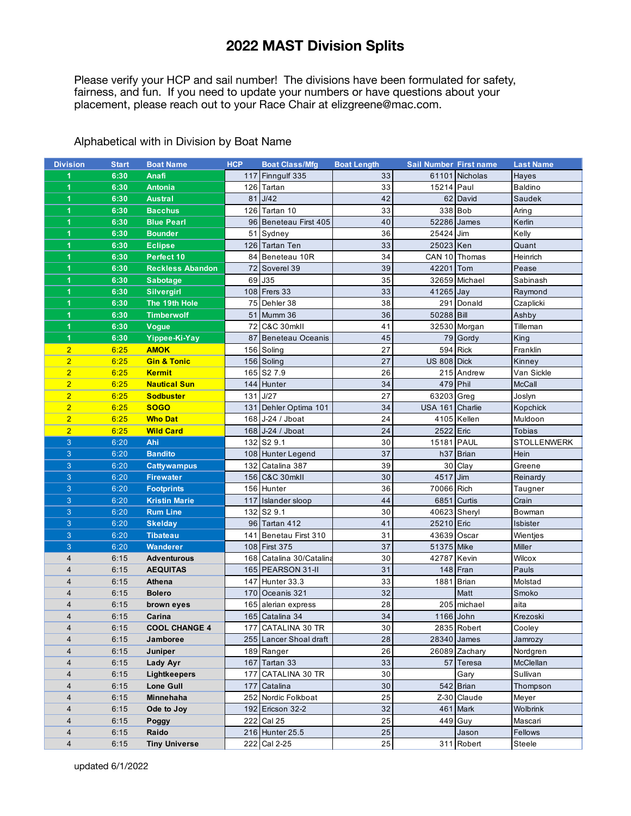## **2022 MAST Division Splits**

Please verify your HCP and sail number! The divisions have been formulated for safety, fairness, and fun. If you need to update your numbers or have questions about your placement, please reach out to your Race Chair at elizgreene@mac.com.

| Alphabetical with in Division by Boat Name |  |  |  |
|--------------------------------------------|--|--|--|
|                                            |  |  |  |

| <b>Division</b> | <b>Start</b> | <b>Boat Name</b>        | <b>HCP</b> | <b>Boat Class/Mfg</b>    | <b>Boat Length</b> | <b>Sail Number First name</b> |                | <b>Last Name</b>   |
|-----------------|--------------|-------------------------|------------|--------------------------|--------------------|-------------------------------|----------------|--------------------|
|                 | 6:30         | Anafi                   |            | 117 Finngulf 335         | 33                 |                               | 61101 Nicholas | Hayes              |
| $\overline{1}$  | 6:30         | <b>Antonia</b>          |            | 126 Tartan               | 33                 | 15214 Paul                    |                | <b>Baldino</b>     |
| 1               | 6:30         | <b>Austral</b>          | 81         | J/42                     | 42                 |                               | 62 David       | Saudek             |
| 1               | 6:30         | <b>Bacchus</b>          |            | 126 Tartan 10            | 33                 | 338                           | <b>Bob</b>     | Aring              |
| 1               | 6:30         | <b>Blue Pearl</b>       |            | 96 Beneteau First 405    | 40                 | 52286                         | James          | Kerlin             |
| 1               | 6:30         | <b>Bounder</b>          |            | 51 Sydney                | 36                 | 25424                         | Jim            | Kelly              |
| 1               | 6:30         | <b>Eclipse</b>          |            | 126 Tartan Ten           | 33                 | 25023                         | Ken            | Quant              |
| 1               | 6:30         | Perfect 10              |            | 84 Beneteau 10R          | 34                 | <b>CAN 10</b>                 | Thomas         | Heinrich           |
| 1               | 6:30         | <b>Reckless Abandon</b> |            | 72 Soverel 39            | 39                 | 42201 Tom                     |                | Pease              |
| 1               | 6:30         | <b>Sabotage</b>         |            | 69 J35                   | 35                 |                               | 32659 Michael  | Sabinash           |
| 1               | 6:30         | <b>Silvergirl</b>       |            | 108 Frers 33             | 33                 | 41265                         | Jay            | Raymond            |
| 1               | 6:30         | The 19th Hole           |            | 75 Dehler 38             | 38                 | 291                           | Donald         | Czaplicki          |
| 1               | 6:30         | <b>Timberwolf</b>       |            | 51 Mumm 36               | 36                 | 50288 Bill                    |                | Ashby              |
| 1               | 6:30         | Vogue                   | 72         | C&C 30mkII               | 41                 |                               | 32530 Morgan   | Tilleman           |
| 1               | 6:30         | Yippee-Ki-Yay           | 87         | Beneteau Oceanis         | 45                 |                               | 79 Gordy       | King               |
| $\overline{2}$  | 6:25         | <b>AMOK</b>             |            | 156 Soling               | 27                 | 594                           | <b>Rick</b>    | Franklin           |
| $\overline{2}$  | 6:25         | <b>Gin &amp; Tonic</b>  |            | 156 Soling               | 27                 | <b>US 808</b>                 | <b>Dick</b>    | Kinney             |
| $\overline{2}$  | 6:25         | <b>Kermit</b>           |            | 165 S2 7.9               | 26                 |                               | 215 Andrew     | Van Sickle         |
| $\overline{2}$  | 6:25         | <b>Nautical Sun</b>     |            | 144 Hunter               | 34                 | 479                           | Phil           | <b>McCall</b>      |
| $\overline{2}$  | 6:25         | <b>Sodbuster</b>        | 131        | J/27                     | 27                 | 63203                         | Greg           | Joslyn             |
| $\overline{2}$  | 6:25         | <b>SOGO</b>             | 131        | Dehler Optima 101        | 34                 | USA 161 Charlie               |                | Kopchick           |
| $\overline{2}$  | 6:25         | <b>Who Dat</b>          |            | 168 J-24 / Jboat         | 24                 |                               | 4105 Kellen    | Muldoon            |
| $\overline{2}$  | 6:25         | <b>Wild Card</b>        |            | 168 J-24 / Jboat         | 24                 | 2522 Eric                     |                | <b>Tobias</b>      |
| 3               | 6:20         | Ahi                     |            | 132 S2 9.1               | 30                 | 15181                         | PAUL           | <b>STOLLENWERK</b> |
| 3               | 6:20         | <b>Bandito</b>          |            | 108 Hunter Legend        | 37                 | h37                           | <b>Brian</b>   | Hein               |
| 3               | 6:20         | <b>Cattywampus</b>      |            | 132 Catalina 387         | 39                 |                               | 30 Clay        | Greene             |
| 3               | 6:20         | <b>Firewater</b>        |            | 156 C&C 30mkll           | 30                 | 4517                          | Jim            | Reinardy           |
| 3               | 6:20         | <b>Footprints</b>       |            | 156 Hunter               | 36                 | 70066                         | Rich           | Taugner            |
| 3               | 6:20         | <b>Kristin Marie</b>    |            | 117 Islander sloop       | 44                 | 6851                          | Curtis         | Crain              |
| 3               | 6:20         | <b>Rum Line</b>         |            | 132 S2 9.1               | 30                 |                               | 40623 Sheryl   | Bowman             |
| 3               | 6:20         | <b>Skelday</b>          |            | 96 Tartan 412            | 41                 | 25210 Eric                    |                | Isbister           |
| 3               | 6:20         | <b>Tibateau</b>         | 141        | Benetau First 310        | 31                 | 43639                         | Oscar          | Wientjes           |
| 3               | 6:20         | <b>Wanderer</b>         |            | 108 First 375            | 37                 | 51375 Mike                    |                | Miller             |
| 4               | 6:15         | <b>Adventurous</b>      |            | 168 Catalina 30/Catalina | 30                 | 42787                         | Kevin          | Wilcox             |
| $\overline{4}$  | 6:15         | <b>AEQUITAS</b>         |            | 165 PEARSON 31-II        | 31                 | 148                           | Fran           | Pauls              |
| $\overline{4}$  | 6:15         | <b>Athena</b>           | 147        | Hunter 33.3              | 33                 | 1881                          | Brian          | Molstad            |
| 4               | 6:15         | <b>Bolero</b>           |            | 170 Oceanis 321          | 32                 |                               | Matt           | Smoko              |
| 4               | 6:15         | brown eyes              |            | 165 alerian express      | 28                 | 205                           | michael        | aita               |
| $\overline{4}$  | 6:15         | Carina                  |            | 165 Catalina 34          | 34                 |                               | 1166 John      | Krezoski           |
| 4               | 6:15         | <b>COOL CHANGE 4</b>    |            | 177 CATALINA 30 TR       | 30                 |                               | 2835 Robert    | Cooley             |
| 4               | 6:15         | Jamboree                |            | 255 Lancer Shoal draft   | 28                 | 28340                         | James          | Jamrozy            |
| 4               | 6:15         | Juniper                 |            | 189 Ranger               | 26                 |                               | 26089 Zachary  | Nordgren           |
| 4               | 6:15         | Lady Ayr                |            | 167 Tartan 33            | 33                 | 57                            | Teresa         | McClellan          |
| 4               | 6:15         | Lightkeepers            | 177        | CATALINA 30 TR           | 30                 |                               | Gary           | Sullivan           |
| 4               |              | <b>Lone Gull</b>        |            | Catalina                 | 30                 |                               | 542 Brian      |                    |
|                 | 6:15         |                         | 177        |                          | 25                 |                               |                | Thompson           |
| 4               | 6:15         | Minnehaha               | 252        | Nordic Folkboat          |                    |                               | Z-30 Claude    | Meyer              |
| 4               | 6:15         | Ode to Joy              |            | 192 Ericson 32-2         | 32                 | 461                           | Mark           | Wolbrink           |
| 4               | 6:15         | Poggy                   |            | 222 Cal 25               | 25                 | 449                           | Guy            | Mascari            |
| 4               | 6:15         | Raido                   |            | 216 Hunter 25.5          | 25                 |                               | Jason          | Fellows            |
| 4               | 6:15         | <b>Tiny Universe</b>    |            | 222 Cal 2-25             | 25                 |                               | 311 Robert     | Steele             |